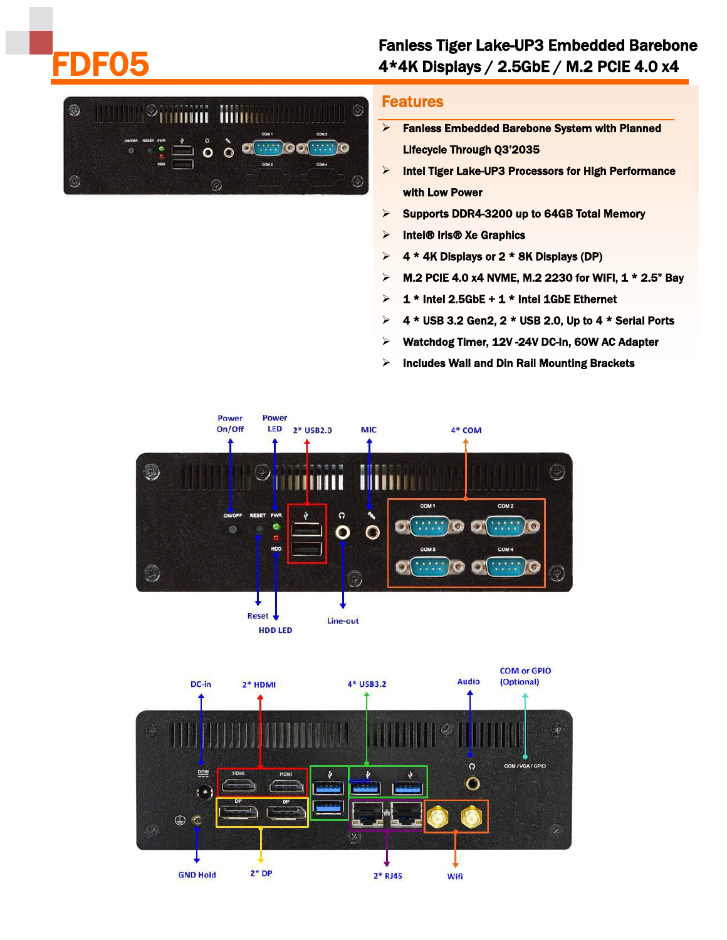## FDF05

## Fanless Tiger Lake-UP3 Embedded Barebone 4\*4K Displays / 2.5GbE / M.2 PCIE 4.0 x4



## Features

- $\triangleright$  Fanless Embedded Barebone System with Planned Lifecycle Through Q3'2035
- $\triangleright$  Intel Tiger Lake-UP3 Processors for High Performance with Low Power
- $\triangleright$  Supports DDR4-3200 up to 64GB Total Memory
- $\triangleright$  Intel® Iris® Xe Graphics
- $\triangleright$  4 \* 4K Displays or 2 \* 8K Displays (DP)
- $>$  M.2 PCIE 4.0 x4 NVME, M.2 2230 for WIFI, 1  $*$  2.5" Bay
- $\geq 1$  \* Intel 2.5GbE + 1 \* Intel 1GbE Ethernet
- $\triangleright$  4 \* USB 3.2 Gen2, 2 \* USB 2.0, Up to 4 \* Serial Ports
- Watchdog Timer, 12V -24V DC-In, 60W AC Adapter
- $\triangleright$  Includes Wall and Din Rail Mounting Brackets